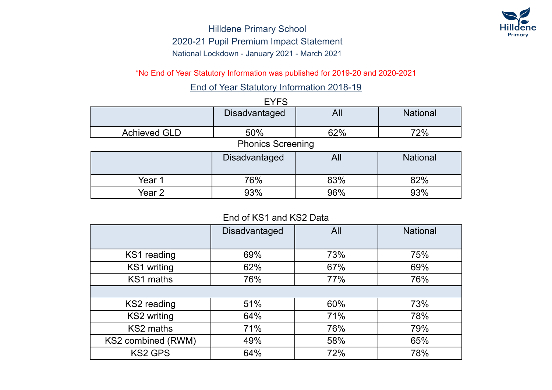

\*No End of Year Statutory Information was published for 2019-20 and 2020-2021

End of Year Statutory Information 2018-19

|                          | <b>EYFS</b>   |     |                 |  |
|--------------------------|---------------|-----|-----------------|--|
|                          | Disadvantaged | All | <b>National</b> |  |
| <b>Achieved GLD</b>      | 50%           | 62% | 72%             |  |
| <b>Phonics Screening</b> |               |     |                 |  |
|                          | Disadvantaged | All | <b>National</b> |  |
| Year 1                   | 76%           | 83% | 82%             |  |

# End of KS1 and KS2 Data

Year 2 1 93% 96% 96% 93%

|                    | <b>Disadvantaged</b> | All | <b>National</b> |
|--------------------|----------------------|-----|-----------------|
| KS1 reading        | 69%                  | 73% | 75%             |
| KS1 writing        | 62%                  | 67% | 69%             |
| KS1 maths          | 76%                  | 77% | 76%             |
|                    |                      |     |                 |
| KS2 reading        | 51%                  | 60% | 73%             |
| KS2 writing        | 64%                  | 71% | 78%             |
| KS2 maths          | 71%                  | 76% | 79%             |
| KS2 combined (RWM) | 49%                  | 58% | 65%             |
| <b>KS2 GPS</b>     | 64%                  | 72% | 78%             |

## EYFS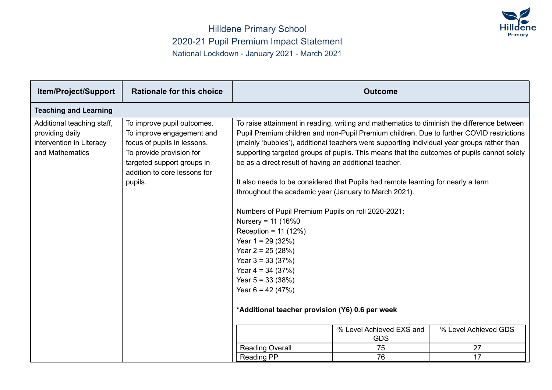

| <b>Item/Project/Support</b>                                                                  | <b>Rationale for this choice</b>                                                                                                                                                            | <b>Outcome</b>                                                                                                                                                                                                                                                                                                                                                  |                                                                                                                                                                                                                                                                                                                                                                                                                                                                        |                      |  |  |
|----------------------------------------------------------------------------------------------|---------------------------------------------------------------------------------------------------------------------------------------------------------------------------------------------|-----------------------------------------------------------------------------------------------------------------------------------------------------------------------------------------------------------------------------------------------------------------------------------------------------------------------------------------------------------------|------------------------------------------------------------------------------------------------------------------------------------------------------------------------------------------------------------------------------------------------------------------------------------------------------------------------------------------------------------------------------------------------------------------------------------------------------------------------|----------------------|--|--|
| <b>Teaching and Learning</b>                                                                 |                                                                                                                                                                                             |                                                                                                                                                                                                                                                                                                                                                                 |                                                                                                                                                                                                                                                                                                                                                                                                                                                                        |                      |  |  |
| Additional teaching staff,<br>providing daily<br>intervention in Literacy<br>and Mathematics | To improve pupil outcomes.<br>To improve engagement and<br>focus of pupils in lessons.<br>To provide provision for<br>targeted support groups in<br>addition to core lessons for<br>pupils. | be as a direct result of having an additional teacher.<br>throughout the academic year (January to March 2021).<br>Numbers of Pupil Premium Pupils on roll 2020-2021:<br>Nursery = $11$ (16%0)<br>Reception = $11(12%)$<br>Year $1 = 29$ (32%)<br>Year $2 = 25 (28%)$<br>Year $3 = 33(37%)$<br>Year $4 = 34 (37%)$<br>Year $5 = 33(38%)$<br>Year $6 = 42 (47%)$ | To raise attainment in reading, writing and mathematics to diminish the difference between<br>Pupil Premium children and non-Pupil Premium children. Due to further COVID restrictions<br>(mainly 'bubbles'), additional teachers were supporting individual year groups rather than<br>supporting targeted groups of pupils. This means that the outcomes of pupils cannot solely<br>It also needs to be considered that Pupils had remote learning for nearly a term |                      |  |  |
|                                                                                              |                                                                                                                                                                                             | *Additional teacher provision (Y6) 0.6 per week                                                                                                                                                                                                                                                                                                                 | % Level Achieved EXS and                                                                                                                                                                                                                                                                                                                                                                                                                                               | % Level Achieved GDS |  |  |
|                                                                                              |                                                                                                                                                                                             |                                                                                                                                                                                                                                                                                                                                                                 | <b>GDS</b>                                                                                                                                                                                                                                                                                                                                                                                                                                                             |                      |  |  |
|                                                                                              |                                                                                                                                                                                             | <b>Reading Overall</b><br>Reading PP                                                                                                                                                                                                                                                                                                                            | 75<br>76                                                                                                                                                                                                                                                                                                                                                                                                                                                               | 27<br>17             |  |  |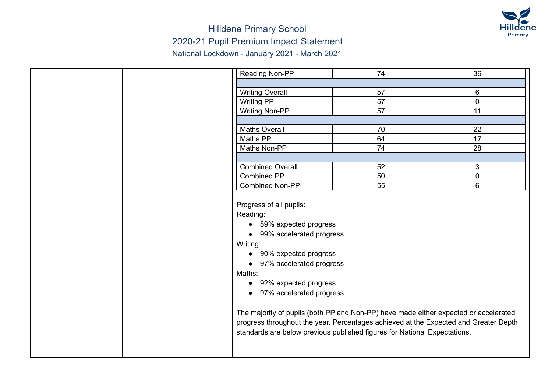

| Reading Non-PP                                                                                                                                                                                                                                                                                                                                                                                                                                                                                  | 74 | 36             |
|-------------------------------------------------------------------------------------------------------------------------------------------------------------------------------------------------------------------------------------------------------------------------------------------------------------------------------------------------------------------------------------------------------------------------------------------------------------------------------------------------|----|----------------|
|                                                                                                                                                                                                                                                                                                                                                                                                                                                                                                 |    |                |
| <b>Writing Overall</b>                                                                                                                                                                                                                                                                                                                                                                                                                                                                          | 57 | 6              |
| Writing PP                                                                                                                                                                                                                                                                                                                                                                                                                                                                                      | 57 | $\mathbf 0$    |
| <b>Writing Non-PP</b>                                                                                                                                                                                                                                                                                                                                                                                                                                                                           | 57 | 11             |
|                                                                                                                                                                                                                                                                                                                                                                                                                                                                                                 |    |                |
| <b>Maths Overall</b>                                                                                                                                                                                                                                                                                                                                                                                                                                                                            | 70 | 22             |
| Maths PP                                                                                                                                                                                                                                                                                                                                                                                                                                                                                        | 64 | 17             |
| Maths Non-PP                                                                                                                                                                                                                                                                                                                                                                                                                                                                                    | 74 | 28             |
|                                                                                                                                                                                                                                                                                                                                                                                                                                                                                                 |    |                |
| <b>Combined Overall</b>                                                                                                                                                                                                                                                                                                                                                                                                                                                                         | 52 | 3              |
| Combined PP                                                                                                                                                                                                                                                                                                                                                                                                                                                                                     | 50 | $\mathbf 0$    |
| <b>Combined Non-PP</b>                                                                                                                                                                                                                                                                                                                                                                                                                                                                          | 55 | $6\phantom{1}$ |
| Progress of all pupils:<br>Reading:<br>89% expected progress<br>• 99% accelerated progress<br>Writing:<br>• 90% expected progress<br>• 97% accelerated progress<br>Maths:<br>• 92% expected progress<br>• 97% accelerated progress<br>The majority of pupils (both PP and Non-PP) have made either expected or accelerated<br>progress throughout the year. Percentages achieved at the Expected and Greater Depth<br>standards are below previous published figures for National Expectations. |    |                |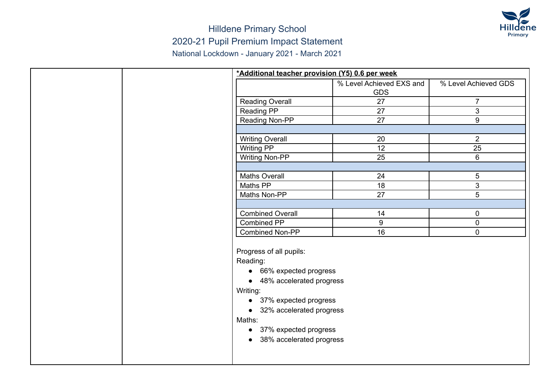

| *Additional teacher provision (Y5) 0.6 per week                                                                                                                                                                                                            |                          |                      |
|------------------------------------------------------------------------------------------------------------------------------------------------------------------------------------------------------------------------------------------------------------|--------------------------|----------------------|
|                                                                                                                                                                                                                                                            | % Level Achieved EXS and | % Level Achieved GDS |
|                                                                                                                                                                                                                                                            | <b>GDS</b>               |                      |
| <b>Reading Overall</b>                                                                                                                                                                                                                                     | 27                       | $\overline{7}$       |
| Reading PP                                                                                                                                                                                                                                                 | 27                       | 3                    |
| Reading Non-PP                                                                                                                                                                                                                                             | 27                       | 9                    |
|                                                                                                                                                                                                                                                            |                          |                      |
| <b>Writing Overall</b>                                                                                                                                                                                                                                     | 20                       | $\overline{2}$       |
| <b>Writing PP</b>                                                                                                                                                                                                                                          | 12                       | 25                   |
| <b>Writing Non-PP</b>                                                                                                                                                                                                                                      | 25                       | $\,6\,$              |
|                                                                                                                                                                                                                                                            |                          |                      |
| <b>Maths Overall</b>                                                                                                                                                                                                                                       | 24                       | 5                    |
| Maths PP                                                                                                                                                                                                                                                   | 18                       | 3                    |
| Maths Non-PP                                                                                                                                                                                                                                               | 27                       | 5                    |
|                                                                                                                                                                                                                                                            |                          |                      |
| <b>Combined Overall</b>                                                                                                                                                                                                                                    | 14                       | 0                    |
| <b>Combined PP</b>                                                                                                                                                                                                                                         | 9                        | $\mathbf 0$          |
| Combined Non-PP                                                                                                                                                                                                                                            | 16                       | $\mathbf 0$          |
| Progress of all pupils:<br>Reading:<br>• 66% expected progress<br>• 48% accelerated progress<br>Writing:<br>37% expected progress<br>$\bullet$<br>• 32% accelerated progress<br>Maths:<br>• 37% expected progress<br>38% accelerated progress<br>$\bullet$ |                          |                      |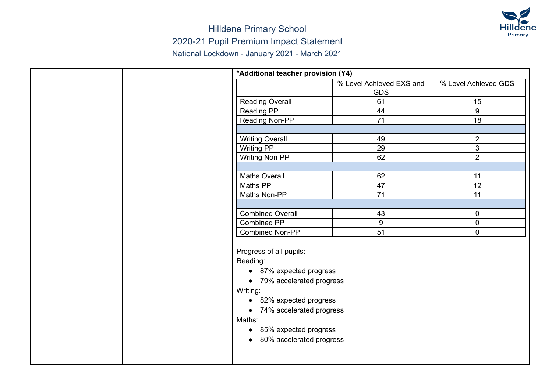

|  | *Additional teacher provision (Y4)    |                          |                      |
|--|---------------------------------------|--------------------------|----------------------|
|  |                                       | % Level Achieved EXS and | % Level Achieved GDS |
|  |                                       | <b>GDS</b>               |                      |
|  | <b>Reading Overall</b>                | 61                       | 15                   |
|  | Reading PP                            | 44                       | 9                    |
|  | Reading Non-PP                        | 71                       | 18                   |
|  |                                       |                          |                      |
|  | <b>Writing Overall</b>                | 49                       | $\overline{2}$       |
|  | <b>Writing PP</b>                     | 29                       | $\mathfrak{S}$       |
|  | <b>Writing Non-PP</b>                 | 62                       | $\overline{2}$       |
|  |                                       |                          |                      |
|  | <b>Maths Overall</b>                  | 62                       | 11                   |
|  | Maths PP                              | 47                       | 12                   |
|  | Maths Non-PP                          | 71                       | 11                   |
|  |                                       |                          |                      |
|  | <b>Combined Overall</b>               | 43                       | 0                    |
|  | Combined PP                           | 9                        | $\mathbf 0$          |
|  | Combined Non-PP                       | 51                       | $\mathbf 0$          |
|  |                                       |                          |                      |
|  | Progress of all pupils:               |                          |                      |
|  | Reading:                              |                          |                      |
|  | • 87% expected progress               |                          |                      |
|  | • 79% accelerated progress            |                          |                      |
|  | Writing:                              |                          |                      |
|  | 82% expected progress<br>$\bullet$    |                          |                      |
|  | 74% accelerated progress<br>$\bullet$ |                          |                      |
|  | Maths:                                |                          |                      |
|  | • 85% expected progress               |                          |                      |
|  | 80% accelerated progress<br>$\bullet$ |                          |                      |
|  |                                       |                          |                      |
|  |                                       |                          |                      |
|  |                                       |                          |                      |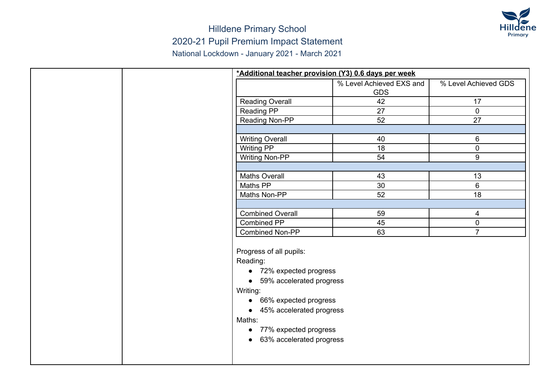

|  | *Additional teacher provision (Y3) 0.6 days per week |                          |                      |
|--|------------------------------------------------------|--------------------------|----------------------|
|  |                                                      | % Level Achieved EXS and | % Level Achieved GDS |
|  |                                                      | <b>GDS</b>               |                      |
|  | <b>Reading Overall</b>                               | 42                       | 17                   |
|  | <b>Reading PP</b>                                    | 27                       | $\overline{0}$       |
|  | Reading Non-PP                                       | 52                       | 27                   |
|  |                                                      |                          |                      |
|  | <b>Writing Overall</b>                               | 40                       | 6                    |
|  | <b>Writing PP</b>                                    | 18                       | $\mathbf 0$          |
|  | <b>Writing Non-PP</b>                                | 54                       | 9                    |
|  |                                                      |                          |                      |
|  | <b>Maths Overall</b>                                 | 43                       | 13                   |
|  | Maths PP                                             | 30                       | 6                    |
|  | Maths Non-PP                                         | 52                       | 18                   |
|  |                                                      |                          |                      |
|  | <b>Combined Overall</b>                              | 59                       | 4                    |
|  | Combined PP                                          | 45                       | $\mathbf 0$          |
|  | Combined Non-PP                                      | 63                       | $\overline{7}$       |
|  |                                                      |                          |                      |
|  | Progress of all pupils:                              |                          |                      |
|  | Reading:                                             |                          |                      |
|  | • 72% expected progress                              |                          |                      |
|  | • 59% accelerated progress                           |                          |                      |
|  | Writing:                                             |                          |                      |
|  | 66% expected progress<br>$\bullet$                   |                          |                      |
|  | • 45% accelerated progress                           |                          |                      |
|  | Maths:                                               |                          |                      |
|  | • 77% expected progress                              |                          |                      |
|  | 63% accelerated progress                             |                          |                      |
|  |                                                      |                          |                      |
|  |                                                      |                          |                      |
|  |                                                      |                          |                      |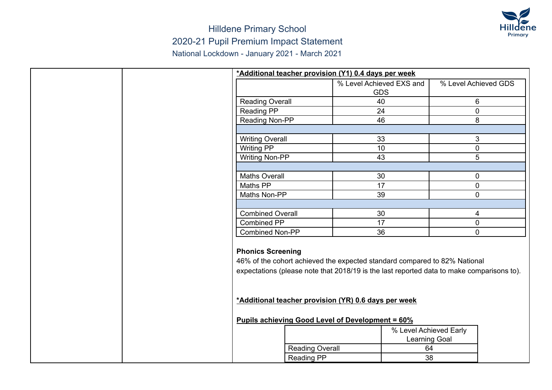

|  | *Additional teacher provision (Y1) 0.4 days per week |                        |                                                                                                                                                                                                                                |                        |                      |
|--|------------------------------------------------------|------------------------|--------------------------------------------------------------------------------------------------------------------------------------------------------------------------------------------------------------------------------|------------------------|----------------------|
|  |                                                      |                        | % Level Achieved EXS and                                                                                                                                                                                                       |                        | % Level Achieved GDS |
|  |                                                      |                        | <b>GDS</b>                                                                                                                                                                                                                     |                        |                      |
|  | <b>Reading Overall</b>                               |                        | 40                                                                                                                                                                                                                             |                        | 6                    |
|  | Reading PP                                           |                        | 24                                                                                                                                                                                                                             |                        | $\overline{0}$       |
|  | Reading Non-PP                                       |                        | 46                                                                                                                                                                                                                             |                        | 8                    |
|  |                                                      |                        |                                                                                                                                                                                                                                |                        |                      |
|  | <b>Writing Overall</b>                               |                        | 33                                                                                                                                                                                                                             |                        | $\mathbf{3}$         |
|  | Writing PP                                           |                        | 10                                                                                                                                                                                                                             |                        | $\mathbf 0$          |
|  | <b>Writing Non-PP</b>                                |                        | 43                                                                                                                                                                                                                             |                        | $5\overline{)}$      |
|  |                                                      |                        |                                                                                                                                                                                                                                |                        |                      |
|  | <b>Maths Overall</b>                                 |                        | 30                                                                                                                                                                                                                             |                        | 0                    |
|  | Maths PP                                             |                        | $\overline{17}$                                                                                                                                                                                                                |                        | $\overline{0}$       |
|  | Maths Non-PP                                         |                        | 39                                                                                                                                                                                                                             |                        | $\mathbf 0$          |
|  |                                                      |                        |                                                                                                                                                                                                                                |                        |                      |
|  | <b>Combined Overall</b>                              |                        | 30                                                                                                                                                                                                                             |                        | 4                    |
|  | Combined PP                                          |                        | 17                                                                                                                                                                                                                             |                        | $\mathbf 0$          |
|  | <b>Combined Non-PP</b>                               |                        | 36                                                                                                                                                                                                                             |                        | $\overline{0}$       |
|  | <b>Phonics Screening</b>                             |                        | 46% of the cohort achieved the expected standard compared to 82% National<br>expectations (please note that 2018/19 is the last reported data to make comparisons to).<br>*Additional teacher provision (YR) 0.6 days per week |                        |                      |
|  |                                                      |                        | <b>Pupils achieving Good Level of Development = 60%</b>                                                                                                                                                                        |                        |                      |
|  |                                                      |                        |                                                                                                                                                                                                                                | % Level Achieved Early |                      |
|  |                                                      |                        |                                                                                                                                                                                                                                | Learning Goal          |                      |
|  |                                                      | <b>Reading Overall</b> |                                                                                                                                                                                                                                | 64                     |                      |
|  |                                                      | <b>Reading PP</b>      |                                                                                                                                                                                                                                | 38                     |                      |
|  |                                                      |                        |                                                                                                                                                                                                                                |                        |                      |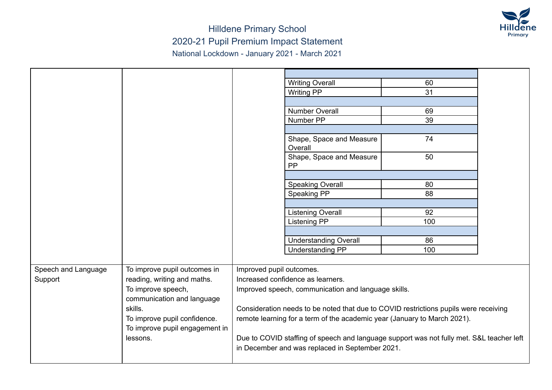

|                     |                                |                          | <b>Writing Overall</b>                                                                                                                      | 60  |  |
|---------------------|--------------------------------|--------------------------|---------------------------------------------------------------------------------------------------------------------------------------------|-----|--|
|                     |                                |                          | <b>Writing PP</b>                                                                                                                           | 31  |  |
|                     |                                |                          |                                                                                                                                             |     |  |
|                     |                                |                          | <b>Number Overall</b>                                                                                                                       | 69  |  |
|                     |                                |                          | Number PP                                                                                                                                   | 39  |  |
|                     |                                |                          |                                                                                                                                             |     |  |
|                     |                                |                          | Shape, Space and Measure<br>Overall                                                                                                         | 74  |  |
|                     |                                |                          | Shape, Space and Measure<br>PP                                                                                                              | 50  |  |
|                     |                                |                          |                                                                                                                                             |     |  |
|                     |                                |                          | <b>Speaking Overall</b>                                                                                                                     | 80  |  |
|                     |                                |                          | Speaking PP                                                                                                                                 | 88  |  |
|                     |                                |                          |                                                                                                                                             |     |  |
|                     |                                |                          | <b>Listening Overall</b>                                                                                                                    | 92  |  |
|                     |                                |                          | Listening PP                                                                                                                                | 100 |  |
|                     |                                |                          |                                                                                                                                             |     |  |
|                     |                                |                          | <b>Understanding Overall</b>                                                                                                                | 86  |  |
|                     |                                |                          | <b>Understanding PP</b>                                                                                                                     | 100 |  |
|                     |                                |                          |                                                                                                                                             |     |  |
| Speech and Language | To improve pupil outcomes in   | Improved pupil outcomes. |                                                                                                                                             |     |  |
| Support             | reading, writing and maths.    |                          | Increased confidence as learners.                                                                                                           |     |  |
|                     | To improve speech,             |                          | Improved speech, communication and language skills.                                                                                         |     |  |
|                     | communication and language     |                          |                                                                                                                                             |     |  |
|                     | skills.                        |                          | Consideration needs to be noted that due to COVID restrictions pupils were receiving                                                        |     |  |
|                     | To improve pupil confidence.   |                          | remote learning for a term of the academic year (January to March 2021).                                                                    |     |  |
|                     | To improve pupil engagement in |                          |                                                                                                                                             |     |  |
|                     | lessons.                       |                          | Due to COVID staffing of speech and language support was not fully met. S&L teacher left<br>in December and was replaced in September 2021. |     |  |
|                     |                                |                          |                                                                                                                                             |     |  |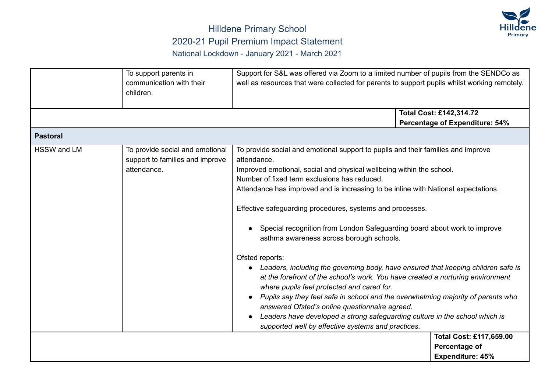

|                    | To support parents in<br>communication with their<br>children.                    | Support for S&L was offered via Zoom to a limited number of pupils from the SENDCo as<br>well as resources that were collected for parents to support pupils whilst working remotely.                                                                                                                                                                                                                                                                                                                                                                                                                                                                                                                                                                                                                                                                                                                                                                                                                                  |                                                                            |
|--------------------|-----------------------------------------------------------------------------------|------------------------------------------------------------------------------------------------------------------------------------------------------------------------------------------------------------------------------------------------------------------------------------------------------------------------------------------------------------------------------------------------------------------------------------------------------------------------------------------------------------------------------------------------------------------------------------------------------------------------------------------------------------------------------------------------------------------------------------------------------------------------------------------------------------------------------------------------------------------------------------------------------------------------------------------------------------------------------------------------------------------------|----------------------------------------------------------------------------|
|                    |                                                                                   |                                                                                                                                                                                                                                                                                                                                                                                                                                                                                                                                                                                                                                                                                                                                                                                                                                                                                                                                                                                                                        | Total Cost: £142,314.72                                                    |
|                    |                                                                                   |                                                                                                                                                                                                                                                                                                                                                                                                                                                                                                                                                                                                                                                                                                                                                                                                                                                                                                                                                                                                                        | <b>Percentage of Expenditure: 54%</b>                                      |
| <b>Pastoral</b>    |                                                                                   |                                                                                                                                                                                                                                                                                                                                                                                                                                                                                                                                                                                                                                                                                                                                                                                                                                                                                                                                                                                                                        |                                                                            |
| <b>HSSW and LM</b> | To provide social and emotional<br>support to families and improve<br>attendance. | To provide social and emotional support to pupils and their families and improve<br>attendance.<br>Improved emotional, social and physical wellbeing within the school.<br>Number of fixed term exclusions has reduced.<br>Attendance has improved and is increasing to be inline with National expectations.<br>Effective safeguarding procedures, systems and processes.<br>Special recognition from London Safeguarding board about work to improve<br>asthma awareness across borough schools.<br>Ofsted reports:<br>Leaders, including the governing body, have ensured that keeping children safe is<br>at the forefront of the school's work. You have created a nurturing environment<br>where pupils feel protected and cared for.<br>Pupils say they feel safe in school and the overwhelming majority of parents who<br>answered Ofsted's online questionnaire agreed.<br>Leaders have developed a strong safeguarding culture in the school which is<br>supported well by effective systems and practices. | <b>Total Cost: £117,659.00</b><br>Percentage of<br><b>Expenditure: 45%</b> |
|                    |                                                                                   |                                                                                                                                                                                                                                                                                                                                                                                                                                                                                                                                                                                                                                                                                                                                                                                                                                                                                                                                                                                                                        |                                                                            |